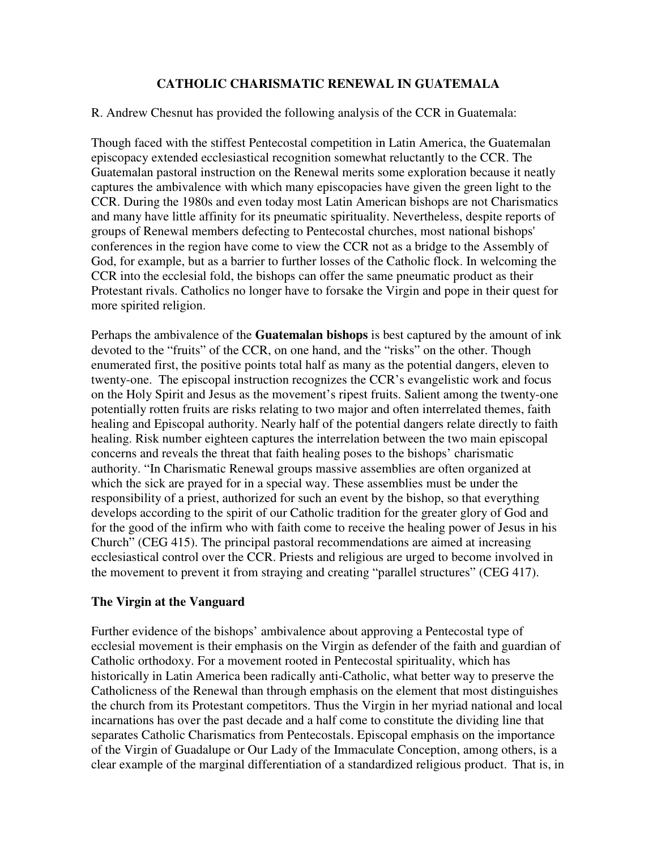### **CATHOLIC CHARISMATIC RENEWAL IN GUATEMALA**

#### R. Andrew Chesnut has provided the following analysis of the CCR in Guatemala:

Though faced with the stiffest Pentecostal competition in Latin America, the Guatemalan episcopacy extended ecclesiastical recognition somewhat reluctantly to the CCR. The Guatemalan pastoral instruction on the Renewal merits some exploration because it neatly captures the ambivalence with which many episcopacies have given the green light to the CCR. During the 1980s and even today most Latin American bishops are not Charismatics and many have little affinity for its pneumatic spirituality. Nevertheless, despite reports of groups of Renewal members defecting to Pentecostal churches, most national bishops' conferences in the region have come to view the CCR not as a bridge to the Assembly of God, for example, but as a barrier to further losses of the Catholic flock. In welcoming the CCR into the ecclesial fold, the bishops can offer the same pneumatic product as their Protestant rivals. Catholics no longer have to forsake the Virgin and pope in their quest for more spirited religion.

Perhaps the ambivalence of the **Guatemalan bishops** is best captured by the amount of ink devoted to the "fruits" of the CCR, on one hand, and the "risks" on the other. Though enumerated first, the positive points total half as many as the potential dangers, eleven to twenty-one. The episcopal instruction recognizes the CCR's evangelistic work and focus on the Holy Spirit and Jesus as the movement's ripest fruits. Salient among the twenty-one potentially rotten fruits are risks relating to two major and often interrelated themes, faith healing and Episcopal authority. Nearly half of the potential dangers relate directly to faith healing. Risk number eighteen captures the interrelation between the two main episcopal concerns and reveals the threat that faith healing poses to the bishops' charismatic authority. "In Charismatic Renewal groups massive assemblies are often organized at which the sick are prayed for in a special way. These assemblies must be under the responsibility of a priest, authorized for such an event by the bishop, so that everything develops according to the spirit of our Catholic tradition for the greater glory of God and for the good of the infirm who with faith come to receive the healing power of Jesus in his Church" (CEG 415). The principal pastoral recommendations are aimed at increasing ecclesiastical control over the CCR. Priests and religious are urged to become involved in the movement to prevent it from straying and creating "parallel structures" (CEG 417).

### **The Virgin at the Vanguard**

Further evidence of the bishops' ambivalence about approving a Pentecostal type of ecclesial movement is their emphasis on the Virgin as defender of the faith and guardian of Catholic orthodoxy. For a movement rooted in Pentecostal spirituality, which has historically in Latin America been radically anti-Catholic, what better way to preserve the Catholicness of the Renewal than through emphasis on the element that most distinguishes the church from its Protestant competitors. Thus the Virgin in her myriad national and local incarnations has over the past decade and a half come to constitute the dividing line that separates Catholic Charismatics from Pentecostals. Episcopal emphasis on the importance of the Virgin of Guadalupe or Our Lady of the Immaculate Conception, among others, is a clear example of the marginal differentiation of a standardized religious product. That is, in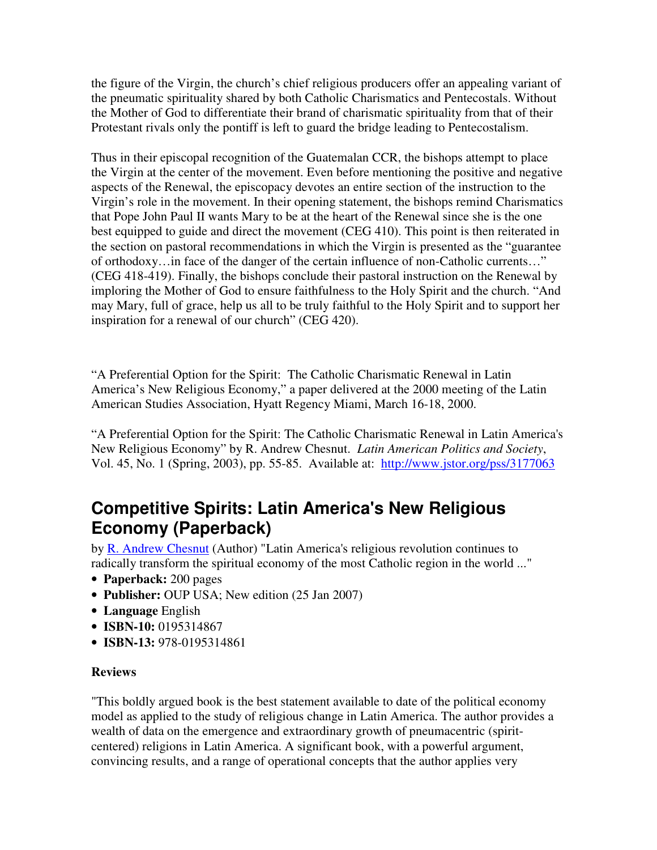the figure of the Virgin, the church's chief religious producers offer an appealing variant of the pneumatic spirituality shared by both Catholic Charismatics and Pentecostals. Without the Mother of God to differentiate their brand of charismatic spirituality from that of their Protestant rivals only the pontiff is left to guard the bridge leading to Pentecostalism.

Thus in their episcopal recognition of the Guatemalan CCR, the bishops attempt to place the Virgin at the center of the movement. Even before mentioning the positive and negative aspects of the Renewal, the episcopacy devotes an entire section of the instruction to the Virgin's role in the movement. In their opening statement, the bishops remind Charismatics that Pope John Paul II wants Mary to be at the heart of the Renewal since she is the one best equipped to guide and direct the movement (CEG 410). This point is then reiterated in the section on pastoral recommendations in which the Virgin is presented as the "guarantee of orthodoxy…in face of the danger of the certain influence of non-Catholic currents…" (CEG 418-419). Finally, the bishops conclude their pastoral instruction on the Renewal by imploring the Mother of God to ensure faithfulness to the Holy Spirit and the church. "And may Mary, full of grace, help us all to be truly faithful to the Holy Spirit and to support her inspiration for a renewal of our church" (CEG 420).

"A Preferential Option for the Spirit: The Catholic Charismatic Renewal in Latin America's New Religious Economy," a paper delivered at the 2000 meeting of the Latin American Studies Association, Hyatt Regency Miami, March 16-18, 2000.

"A Preferential Option for the Spirit: The Catholic Charismatic Renewal in Latin America's New Religious Economy" by R. Andrew Chesnut. *Latin American Politics and Society*, Vol. 45, No. 1 (Spring, 2003), pp. 55-85. Available at: <http://www.jstor.org/pss/3177063>

# **Competitive Spirits: Latin America's New Religious Economy (Paperback)**

by [R. Andrew Chesnut](http://www.amazon.co.uk/exec/obidos/search-handle-url?%5Fencoding=UTF8&search-type=ss&index=books-uk&field-author=R.%20Andrew%20Chesnut) (Author) "Latin America's religious revolution continues to radically transform the spiritual economy of the most Catholic region in the world ..."

- **Paperback:** 200 pages
- **Publisher:** OUP USA; New edition (25 Jan 2007)
- **Language** English
- **ISBN-10:** 0195314867
- **ISBN-13:** 978-0195314861

## **Reviews**

"This boldly argued book is the best statement available to date of the political economy model as applied to the study of religious change in Latin America. The author provides a wealth of data on the emergence and extraordinary growth of pneumacentric (spiritcentered) religions in Latin America. A significant book, with a powerful argument, convincing results, and a range of operational concepts that the author applies very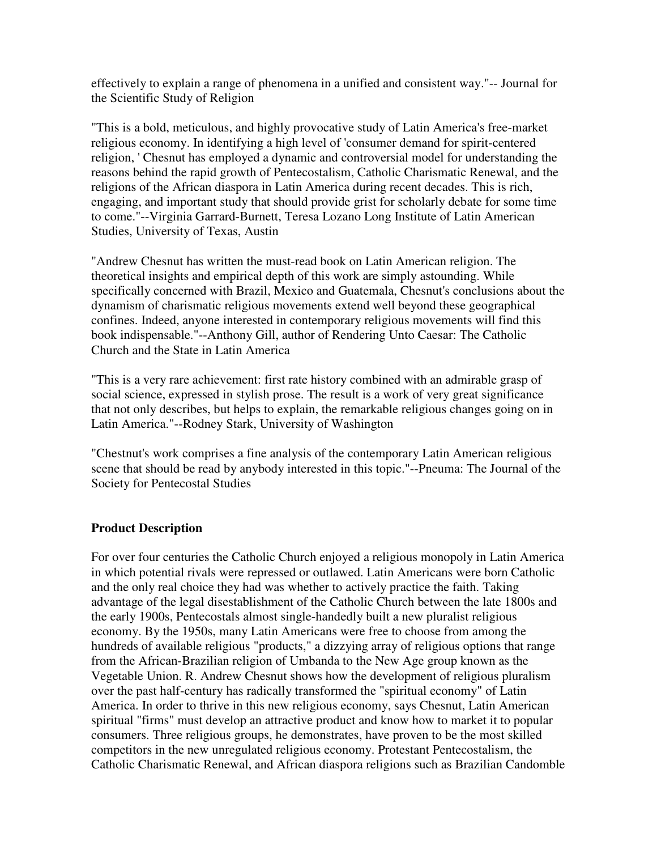effectively to explain a range of phenomena in a unified and consistent way."-- Journal for the Scientific Study of Religion

"This is a bold, meticulous, and highly provocative study of Latin America's free-market religious economy. In identifying a high level of 'consumer demand for spirit-centered religion, ' Chesnut has employed a dynamic and controversial model for understanding the reasons behind the rapid growth of Pentecostalism, Catholic Charismatic Renewal, and the religions of the African diaspora in Latin America during recent decades. This is rich, engaging, and important study that should provide grist for scholarly debate for some time to come."--Virginia Garrard-Burnett, Teresa Lozano Long Institute of Latin American Studies, University of Texas, Austin

"Andrew Chesnut has written the must-read book on Latin American religion. The theoretical insights and empirical depth of this work are simply astounding. While specifically concerned with Brazil, Mexico and Guatemala, Chesnut's conclusions about the dynamism of charismatic religious movements extend well beyond these geographical confines. Indeed, anyone interested in contemporary religious movements will find this book indispensable."--Anthony Gill, author of Rendering Unto Caesar: The Catholic Church and the State in Latin America

"This is a very rare achievement: first rate history combined with an admirable grasp of social science, expressed in stylish prose. The result is a work of very great significance that not only describes, but helps to explain, the remarkable religious changes going on in Latin America."--Rodney Stark, University of Washington

"Chestnut's work comprises a fine analysis of the contemporary Latin American religious scene that should be read by anybody interested in this topic."--Pneuma: The Journal of the Society for Pentecostal Studies

### **Product Description**

For over four centuries the Catholic Church enjoyed a religious monopoly in Latin America in which potential rivals were repressed or outlawed. Latin Americans were born Catholic and the only real choice they had was whether to actively practice the faith. Taking advantage of the legal disestablishment of the Catholic Church between the late 1800s and the early 1900s, Pentecostals almost single-handedly built a new pluralist religious economy. By the 1950s, many Latin Americans were free to choose from among the hundreds of available religious "products," a dizzying array of religious options that range from the African-Brazilian religion of Umbanda to the New Age group known as the Vegetable Union. R. Andrew Chesnut shows how the development of religious pluralism over the past half-century has radically transformed the "spiritual economy" of Latin America. In order to thrive in this new religious economy, says Chesnut, Latin American spiritual "firms" must develop an attractive product and know how to market it to popular consumers. Three religious groups, he demonstrates, have proven to be the most skilled competitors in the new unregulated religious economy. Protestant Pentecostalism, the Catholic Charismatic Renewal, and African diaspora religions such as Brazilian Candomble